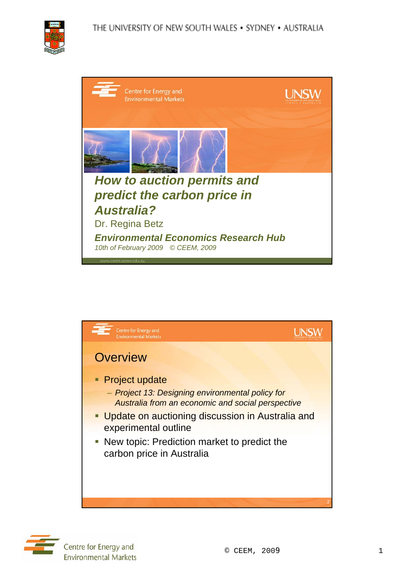

| Centre for Energy and<br><b>Environmental Markets</b>                             |  |
|-----------------------------------------------------------------------------------|--|
|                                                                                   |  |
| <b>How to auction permits and</b>                                                 |  |
| predict the carbon price in                                                       |  |
| <b>Australia?</b>                                                                 |  |
| Dr. Regina Betz                                                                   |  |
| <b>Environmental Economics Research Hub</b><br>10th of February 2009 © CEEM, 2009 |  |



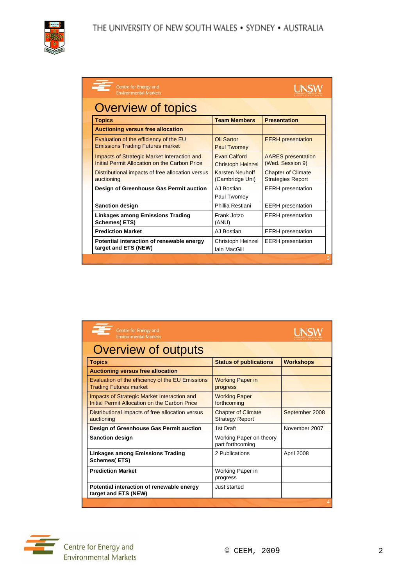

| Centre for Energy and<br><b>Environmental Markets</b>                                        |                                                 |                                                       |  |  |  |  |  |
|----------------------------------------------------------------------------------------------|-------------------------------------------------|-------------------------------------------------------|--|--|--|--|--|
| Overview of topics                                                                           |                                                 |                                                       |  |  |  |  |  |
| <b>Topics</b>                                                                                | <b>Team Members</b>                             | <b>Presentation</b>                                   |  |  |  |  |  |
| <b>Auctioning versus free allocation</b>                                                     |                                                 |                                                       |  |  |  |  |  |
| Evaluation of the efficiency of the EU<br><b>Emissions Trading Futures market</b>            | Oli Sartor<br><b>Paul Twomey</b>                | <b>EERH</b> presentation                              |  |  |  |  |  |
| Impacts of Strategic Market Interaction and<br>Initial Permit Allocation on the Carbon Price | <b>Fvan Calford</b><br><b>Christoph Heinzel</b> | <b>AARES</b> presentation<br>(Wed. Session 9)         |  |  |  |  |  |
| Distributional impacts of free allocation versus<br>auctioning                               | Karsten Neuhoff<br>(Cambridge Uni)              | <b>Chapter of Climate</b><br><b>Strategies Report</b> |  |  |  |  |  |
| Design of Greenhouse Gas Permit auction                                                      | A.I Bostian<br>Paul Twomey                      | <b>EERH</b> presentation                              |  |  |  |  |  |
| <b>Sanction design</b>                                                                       | Phillia Restiani                                | <b>EERH</b> presentation                              |  |  |  |  |  |
| <b>Linkages among Emissions Trading</b><br><b>Schemes(ETS)</b>                               | Frank Jotzo<br>(ANU)                            | <b>EERH</b> presentation                              |  |  |  |  |  |
| <b>Prediction Market</b>                                                                     | AJ Bostian                                      | <b>EERH</b> presentation                              |  |  |  |  |  |
| Potential interaction of renewable energy<br>target and ETS (NEW)                            | Christoph Heinzel<br><b>lain MacGill</b>        | <b>EERH</b> presentation                              |  |  |  |  |  |

| Centre for Energy and<br><b>Environmental Markets</b>                                        |                                                     |                  |
|----------------------------------------------------------------------------------------------|-----------------------------------------------------|------------------|
| Overview of outputs                                                                          |                                                     |                  |
| <b>Topics</b>                                                                                | <b>Status of publications</b>                       | <b>Workshops</b> |
| <b>Auctioning versus free allocation</b>                                                     |                                                     |                  |
| Evaluation of the efficiency of the EU Emissions<br><b>Trading Futures market</b>            | <b>Working Paper in</b><br>progress                 |                  |
| Impacts of Strategic Market Interaction and<br>Initial Permit Allocation on the Carbon Price | <b>Working Paper</b><br>forthcoming                 |                  |
| Distributional impacts of free allocation versus<br>auctioning                               | <b>Chapter of Climate</b><br><b>Strategy Report</b> | September 2008   |
| Design of Greenhouse Gas Permit auction                                                      | 1st Draft                                           | November 2007    |
| <b>Sanction design</b>                                                                       | Working Paper on theory<br>part forthcoming         |                  |
| <b>Linkages among Emissions Trading</b><br><b>Schemes(ETS)</b>                               | 2 Publications                                      | April 2008       |
| <b>Prediction Market</b>                                                                     | Working Paper in<br>progress                        |                  |
| Potential interaction of renewable energy<br>target and ETS (NEW)                            | Just started                                        |                  |
|                                                                                              |                                                     | 4                |

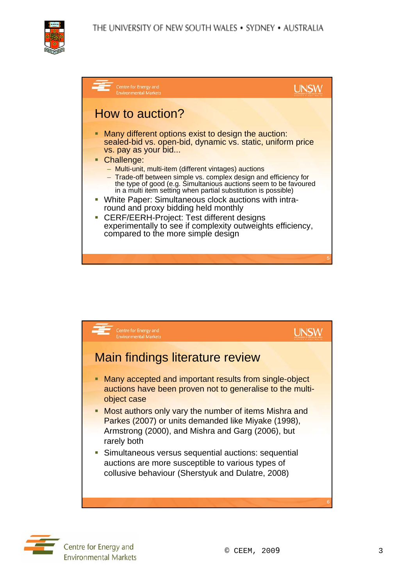

| Centre for Energy and<br><b>Environmental Markets</b>                                                                                                                                                  |  |
|--------------------------------------------------------------------------------------------------------------------------------------------------------------------------------------------------------|--|
| How to auction?                                                                                                                                                                                        |  |
| Many different options exist to design the auction:<br>sealed-bid vs. open-bid, dynamic vs. static, uniform price<br>vs. pay as your bid                                                               |  |
| • Challenge:<br>- Multi-unit, multi-item (different vintages) auctions                                                                                                                                 |  |
| - Trade-off between simple vs. complex design and efficiency for<br>the type of good (e.g. Simultanious auctions seem to be favoured<br>in a multi item setting when partial substitution is possible) |  |
| • White Paper: Simultaneous clock auctions with intra-<br>round and proxy bidding held monthly                                                                                                         |  |
| • CERF/EERH-Project: Test different designs<br>experimentally to see if complexity outweights efficiency,<br>compared to the more simple design                                                        |  |
|                                                                                                                                                                                                        |  |



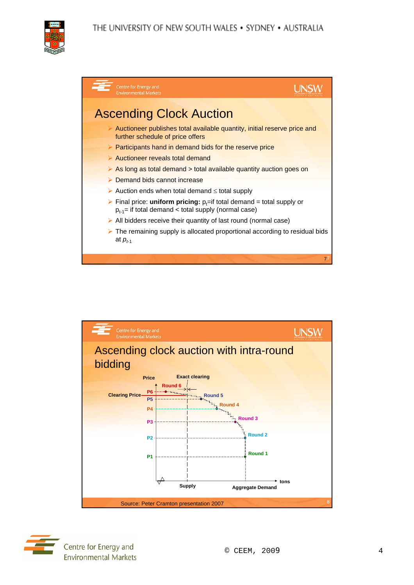





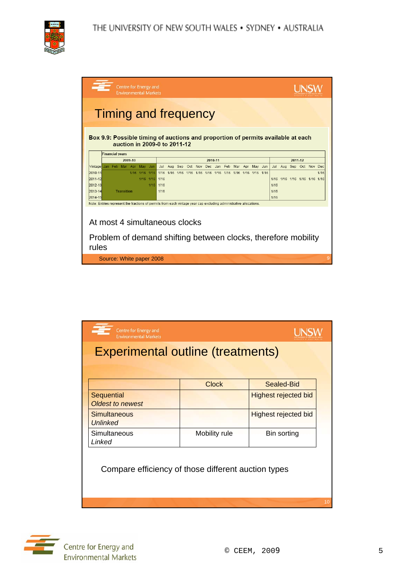

|                               | <b>Environmental Markets</b>                                                                                      |                             |      |            |                 |         |  |             |         |      |                               |         |  |      |
|-------------------------------|-------------------------------------------------------------------------------------------------------------------|-----------------------------|------|------------|-----------------|---------|--|-------------|---------|------|-------------------------------|---------|--|------|
|                               | <b>Timing and frequency</b>                                                                                       |                             |      |            |                 |         |  |             |         |      |                               |         |  |      |
|                               |                                                                                                                   |                             |      |            |                 |         |  |             |         |      |                               |         |  |      |
|                               |                                                                                                                   |                             |      |            |                 |         |  |             |         |      |                               |         |  |      |
|                               | Box 9.9: Possible timing of auctions and proportion of permits available at each                                  |                             |      |            |                 |         |  |             |         |      |                               |         |  |      |
|                               | auction in 2009-0 to 2011-12                                                                                      |                             |      |            |                 |         |  |             |         |      |                               |         |  |      |
|                               |                                                                                                                   |                             |      |            |                 |         |  |             |         |      |                               |         |  |      |
|                               | <b>Financial years</b>                                                                                            |                             |      |            |                 |         |  |             |         |      |                               |         |  |      |
|                               | 2009-10                                                                                                           |                             |      |            |                 | 2010-11 |  |             |         |      |                               | 2011-12 |  |      |
|                               | Vintage Jan Feb Mar Apr May Jun                                                                                   |                             | Jul  | Aug<br>Sep | Oct Nov Dec Jan |         |  | Feb Mar Apr | May Jun |      | Jul Aug Sep Oct Nov Dec       |         |  |      |
| 2010-11<br>2011-12            |                                                                                                                   | 1/16 1/16 1/16              |      |            |                 |         |  |             |         |      | 1/16 1/16 1/16 1/16 1/16 1/16 |         |  | 1/16 |
|                               |                                                                                                                   | 1/16 1/16 1/16<br>1/16 1/16 |      |            |                 |         |  |             |         | 1/16 |                               |         |  |      |
|                               |                                                                                                                   |                             | 1/16 |            |                 |         |  |             |         | 1/16 |                               |         |  |      |
|                               |                                                                                                                   |                             |      |            |                 |         |  |             |         | 1/16 |                               |         |  |      |
|                               | <b>Transition</b>                                                                                                 |                             |      |            |                 |         |  |             |         |      |                               |         |  |      |
|                               | Note: Entries represent the fractions of permits from each vintage year cap excluding administrative allocations. |                             |      |            |                 |         |  |             |         |      |                               |         |  |      |
| 2012-13<br>2013-14<br>2014-15 |                                                                                                                   |                             |      |            |                 |         |  |             |         |      |                               |         |  |      |
|                               |                                                                                                                   |                             |      |            |                 |         |  |             |         |      |                               |         |  |      |
|                               |                                                                                                                   |                             |      |            |                 |         |  |             |         |      |                               |         |  |      |
|                               | At most 4 simultaneous clocks                                                                                     |                             |      |            |                 |         |  |             |         |      |                               |         |  |      |
|                               | Problem of demand shifting between clocks, therefore mobility                                                     |                             |      |            |                 |         |  |             |         |      |                               |         |  |      |

| Centre for Energy and<br><b>Environmental Markets</b> |               |                             |
|-------------------------------------------------------|---------------|-----------------------------|
| Experimental outline (treatments)                     |               |                             |
|                                                       |               |                             |
|                                                       | <b>Clock</b>  | <b>Sealed-Bid</b>           |
| Sequential<br><b>Oldest to newest</b>                 |               | <b>Highest rejected bid</b> |
| <b>Simultaneous</b><br><b>Unlinked</b>                |               | <b>Highest rejected bid</b> |
| Simultaneous<br>Linked                                | Mobility rule | Bin sorting                 |
| Compare efficiency of those different auction types   |               |                             |
|                                                       |               | 10                          |

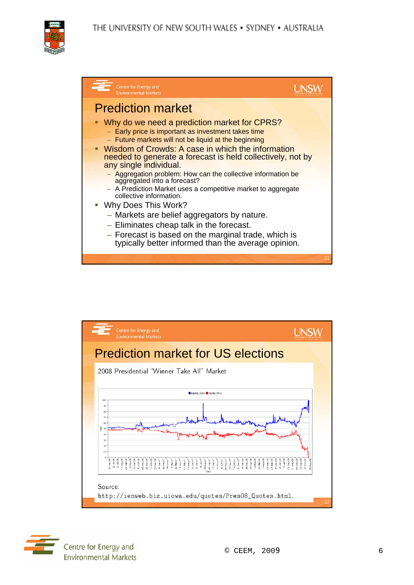